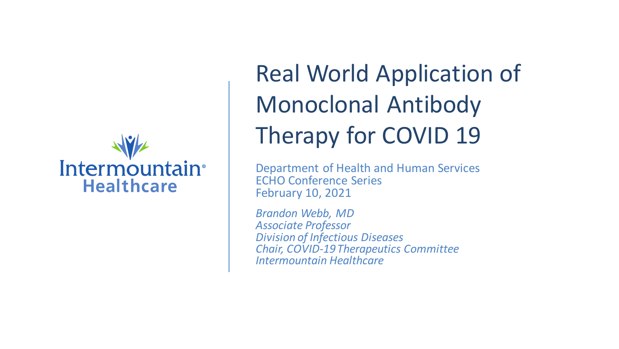

## Real World Application of Monoclonal Antibody Therapy for COVID 19

Department of Health and Human Services ECHO Conference Series February 10, 2021

*Brandon Webb, MD Associate Professor Division of Infectious Diseases Chair, COVID-19 Therapeutics Committee Intermountain Healthcare*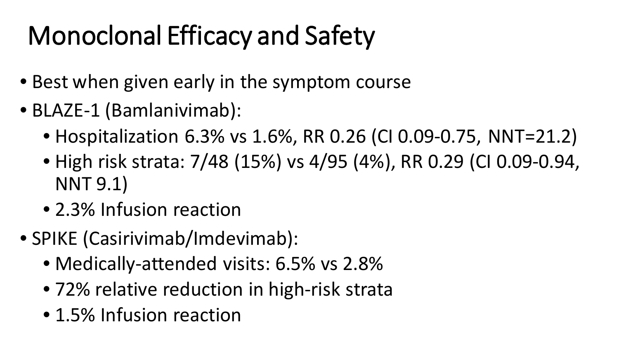# Monoclonal Efficacy and Safety

- Best when given early in the symptom course
- BLAZE-1 (Bamlanivimab):
	- Hospitalization 6.3% vs 1.6%, RR 0.26 (CI 0.09-0.75, NNT=21.2)
	- High risk strata: 7/48 (15%) vs 4/95 (4%), RR 0.29 (CI 0.09-0.94, NNT 9.1)
	- 2.3% Infusion reaction
- SPIKE (Casirivimab/Imdevimab):
	- Medically-attended visits: 6.5% vs 2.8%
	- 72% relative reduction in high-risk strata
	- 1.5% Infusion reaction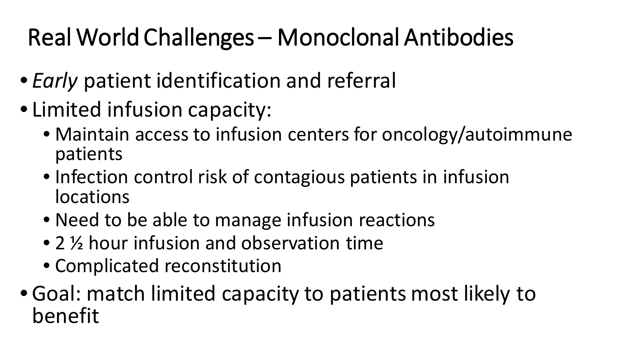### Real World Challenges – Monoclonal Antibodies

- *Early* patient identification and referral
- Limited infusion capacity:
	- Maintain access to infusion centers for oncology/autoimmune patients
	- Infection control risk of contagious patients in infusion locations
	- Need to be able to manage infusion reactions
	- 2 ½ hour infusion and observation time
	- Complicated reconstitution
- Goal: match limited capacity to patients most likely to benefit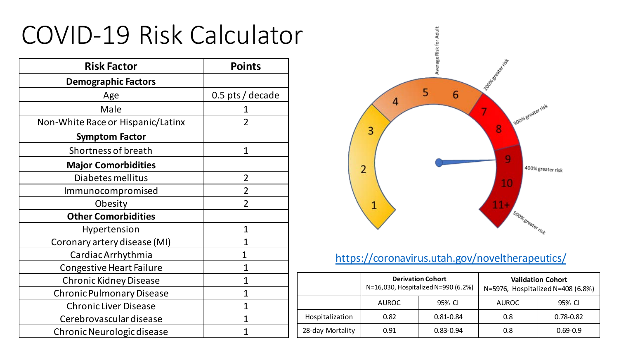### COVID-19 Risk Calculator

| <b>Risk Factor</b>                | <b>Points</b>      |  |
|-----------------------------------|--------------------|--|
| <b>Demographic Factors</b>        |                    |  |
| Age                               | $0.5$ pts / decade |  |
| Male                              |                    |  |
| Non-White Race or Hispanic/Latinx | $\overline{2}$     |  |
| <b>Symptom Factor</b>             |                    |  |
| Shortness of breath               | $\mathbf{1}$       |  |
| <b>Major Comorbidities</b>        |                    |  |
| Diabetes mellitus                 | $\overline{2}$     |  |
| Immunocompromised                 | $\overline{2}$     |  |
| Obesity                           | $\overline{2}$     |  |
| <b>Other Comorbidities</b>        |                    |  |
| Hypertension                      | $\mathbf 1$        |  |
| Coronary artery disease (MI)      | 1                  |  |
| Cardiac Arrhythmia                | 1                  |  |
| <b>Congestive Heart Failure</b>   | 1                  |  |
| <b>Chronic Kidney Disease</b>     | $\overline{1}$     |  |
| <b>Chronic Pulmonary Disease</b>  | 1                  |  |
| <b>Chronic Liver Disease</b>      | 1                  |  |
| Cerebrovascular disease           | 1                  |  |
| Chronic Neurologic disease        | 1                  |  |



#### <https://coronavirus.utah.gov/noveltherapeutics/>

|                  | <b>Derivation Cohort</b><br>N=16,030, Hospitalized N=990 (6.2%) |               |              | <b>Validation Cohort</b><br>N=5976, Hospitalized N=408 (6.8%) |
|------------------|-----------------------------------------------------------------|---------------|--------------|---------------------------------------------------------------|
|                  | <b>AUROC</b>                                                    | 95% CI        | <b>AUROC</b> | 95% CI                                                        |
| Hospitalization  | 0.82                                                            | $0.81 - 0.84$ | 0.8          | $0.78 - 0.82$                                                 |
| 28-day Mortality | 0.91                                                            | $0.83 - 0.94$ | 0.8          | $0.69 - 0.9$                                                  |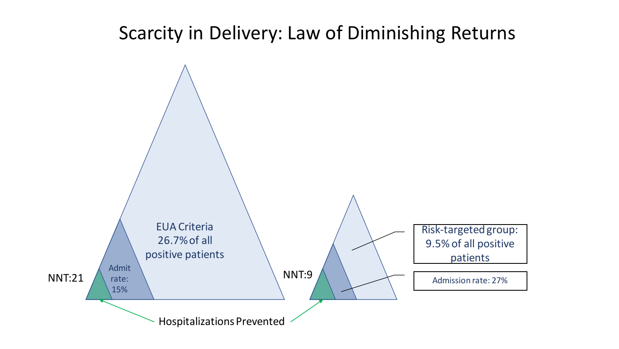### Scarcity in Delivery: Law of Diminishing Returns

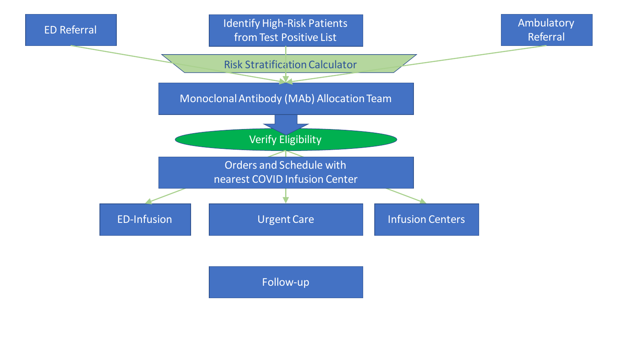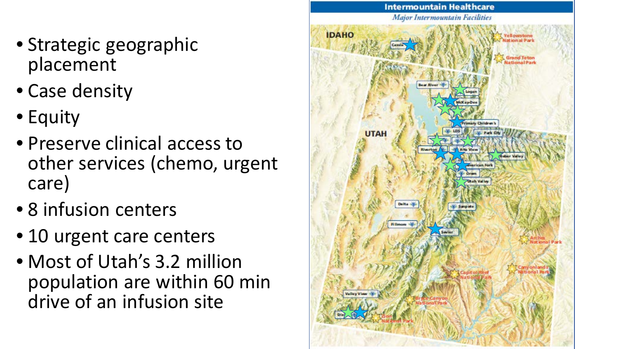- Strategic geographic placement
- Case density
- Equity
- Preserve clinical access to other services (chemo, urgent care)
- 8 infusion centers
- 10 urgent care centers
- Most of Utah's 3.2 million population are within 60 min drive of an infusion site

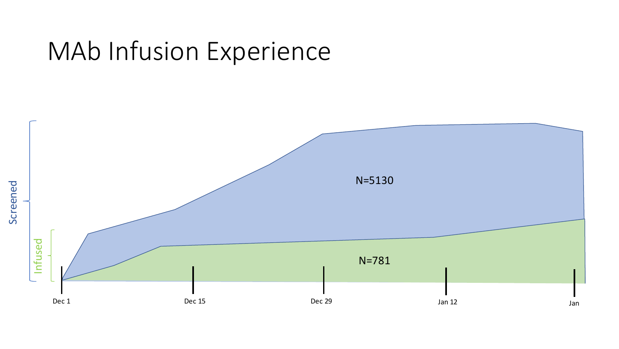### MAb Infusion Experience